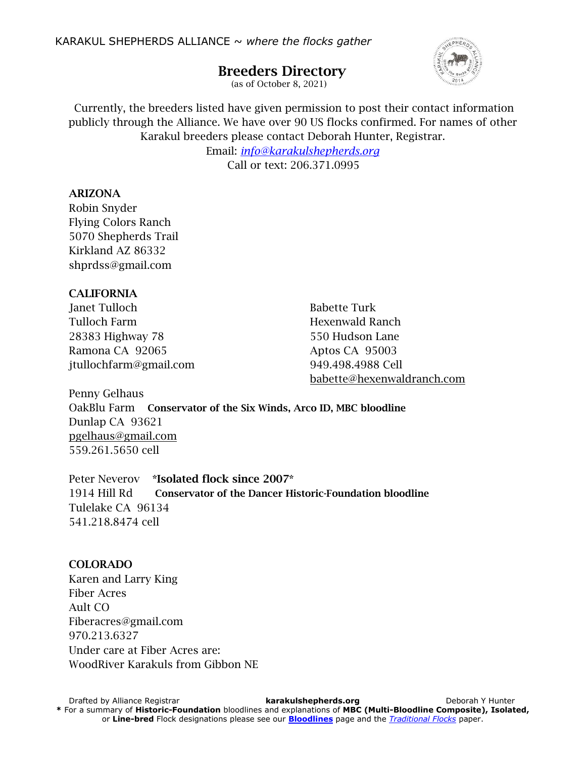# Breeders Directory



(as of October 8, 2021)

Currently, the breeders listed have given permission to post their contact information publicly through the Alliance. We have over 90 US flocks confirmed. For names of other Karakul breeders please contact Deborah Hunter, Registrar.

> Email: *[info@karakulshepherds.org](mailto:info@karakulshepherds.org)* Call or text: 206.371.0995

#### ARIZONA

Robin Snyder Flying Colors Ranch 5070 Shepherds Trail Kirkland AZ 86332 shprdss@gmail.com

## CALIFORNIA

Janet Tulloch Babette Turk Tulloch Farm **Hexenwald Ranch** 28383 Highway 78 550 Hudson Lane Ramona CA 92065 Aptos CA 95003 jtullochfarm@gmail.com 949.498.4988 Cell

[babette@hexenwaldranch.com](mailto:Babette@HexenwaldRanch.com)

Penny Gelhaus OakBlu Farm Conservator of the Six Winds, Arco ID, MBC bloodline Dunlap CA 93621 [pgelhaus@gmail.com](mailto:pgelhaus@gmail.com) 559.261.5650 cell

Peter Neverov \*Isolated flock since 2007\* 1914 Hill Rd Conservator of the Dancer Historic-Foundation bloodline Tulelake CA 96134 541.218.8474 cell

## COLORADO

Karen and Larry King Fiber Acres Ault CO Fiberacres@gmail.com 970.213.6327 Under care at Fiber Acres are: WoodRiver Karakuls from Gibbon NE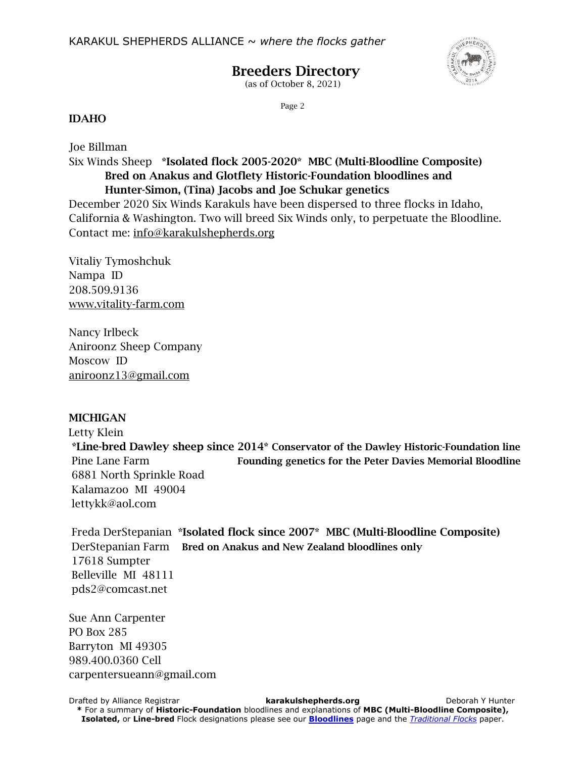

# Breeders Directory

(as of October 8, 2021)

Page 2

#### IDAHO

Joe Billman Six Winds Sheep \*Isolated flock 2005-2020\* MBC (Multi-Bloodline Composite) Bred on Anakus and Glotflety Historic-Foundation bloodlines and Hunter-Simon, (Tina) Jacobs and Joe Schukar genetics

December 2020 Six Winds Karakuls have been dispersed to three flocks in Idaho, California & Washington. Two will breed Six Winds only, to perpetuate the Bloodline. Contact me: [info@karakulshepherds.org](mailto:info@karakulshepherds.org)

Vitaliy Tymoshchuk Nampa ID 208.509.9136 www.vitality-farm.com

Nancy Irlbeck Aniroonz Sheep Company Moscow ID [aniroonz13@gmail.com](mailto:aniroonz13@gmail.com)

## **MICHIGAN**

 Letty Klein \*Line-bred Dawley sheep since 2014\* Conservator of the Dawley Historic-Foundation line Pine Lane Farm Founding genetics for the Peter Davies Memorial Bloodline 6881 North Sprinkle Road Kalamazoo MI 49004 lettykk@aol.com

 Freda DerStepanian \*Isolated flock since 2007\* MBC (Multi-Bloodline Composite) DerStepanian Farm Bred on Anakus and New Zealand bloodlines only 17618 Sumpter Belleville MI 48111 pds2@comcast.net

Sue Ann Carpenter PO Box 285 Barryton MI 49305 989.400.0360 Cell carpentersueann@gmail.com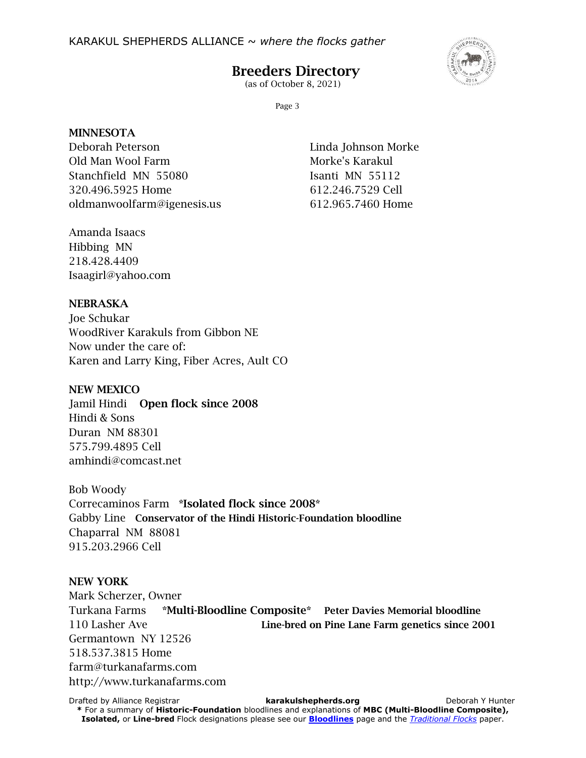

# Breeders Directory

(as of October 8, 2021)

Page 3

#### **MINNESOTA**

Deborah Peterson Linda Johnson Morke Old Man Wool Farm Morke's Karakul Stanchfield MN 55080 Isanti MN 55112 320.496.5925 Home 612.246.7529 Cell oldmanwoolfarm@igenesis.us 612.965.7460 Home

Amanda Isaacs Hibbing MN 218.428.4409 Isaagirl@yahoo.com

## NEBRASKA

Joe Schukar WoodRiver Karakuls from Gibbon NE Now under the care of: Karen and Larry King, Fiber Acres, Ault CO

## NEW MEXICO

Jamil Hindi Open flock since 2008 Hindi & Sons Duran NM 88301 575.799.4895 Cell amhindi@comcast.net

Bob Woody Correcaminos Farm \*Isolated flock since 2008\* Gabby Line Conservator of the Hindi Historic-Foundation bloodline Chaparral NM 88081 915.203.2966 Cell

## NEW YORK

Mark Scherzer, Owner Turkana Farms \*Multi-Bloodline Composite\* Peter Davies Memorial bloodline 110 Lasher Ave **Line-bred on Pine Lane Farm genetics since 2001** Germantown NY 12526 518.537.3815 Home farm@turkanafarms.com http://www.turkanafarms.com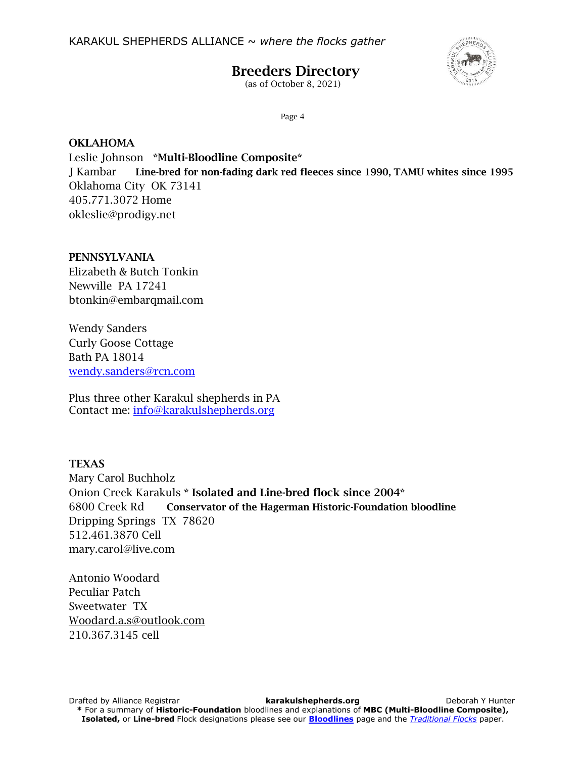

# Breeders Directory

(as of October 8, 2021)

Page 4

#### OKLAHOMA

Leslie Johnson \*Multi-Bloodline Composite\* J Kambar Line-bred for non-fading dark red fleeces since 1990, TAMU whites since 1995 Oklahoma City OK 73141 405.771.3072 Home okleslie@prodigy.net

#### PENNSYLVANIA

Elizabeth & Butch Tonkin Newville PA 17241 btonkin@embarqmail.com

Wendy Sanders Curly Goose Cottage Bath PA 18014 [wendy.sanders@rcn.com](mailto:wendy.sanders@rcn.com)

Plus three other Karakul shepherds in PA Contact me: [info@karakulshepherds.org](mailto:info@karakulshepherds.org)

## **TEXAS**

Mary Carol Buchholz Onion Creek Karakuls \* Isolated and Line-bred flock since 2004\* 6800 Creek Rd Conservator of the Hagerman Historic-Foundation bloodline Dripping Springs TX 78620 512.461.3870 Cell mary.carol@live.com

Antonio Woodard Peculiar Patch Sweetwater TX [Woodard.a.s@outlook.com](mailto:Woodard.a.s@outlook.com) 210.367.3145 cell